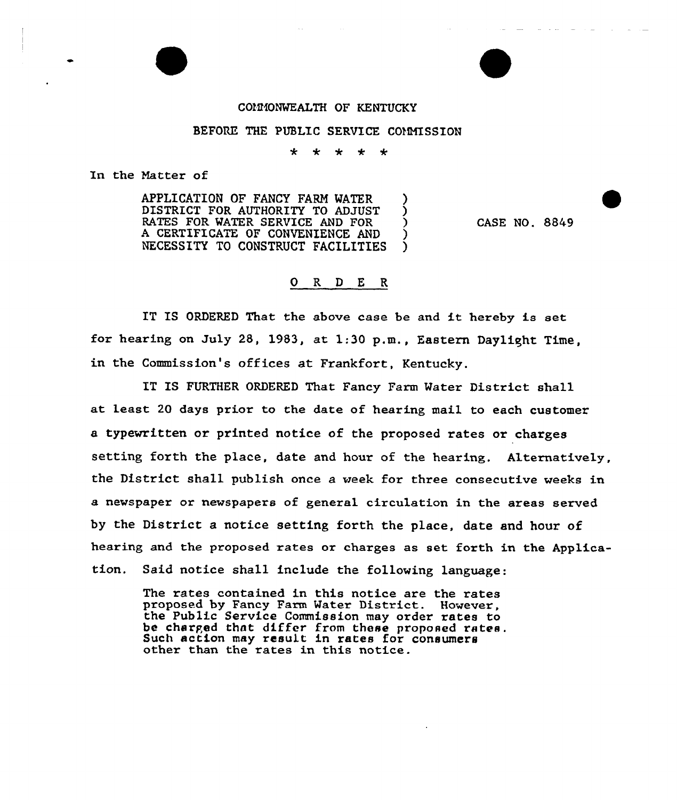## COMMONWEALTH OF KENTUCKY

## BEFORE THE PUBLIC SERVICE COMMISSION

 $\star$ 

In the Natter of

APPLICATION OF FANCY FARM WATER DISTRICT FOR AUTHORITY TO ADJUST (2014)<br>RATES FOR WATER SERVICE AND FOR RATES FOR WATER SERVICE AND FOR A CERTIFICATE OF CONVENIENCE AND )<br>NECESSITY TO CONSTRUCT FACILITIES NECESSITY TO CONSTRUCT FACILITIES

CASE NO. 8849

## 0 R <sup>D</sup> E R

IT IS ORDERED That the above case be and it hereby is set for hearing on July 28, 1983, at 1:30 p.m., Eastern Daylight Time, in the Commissian's offices at Frankfort, Kentucky.

IT IS FURTHER ORDERED That Fancy Farm Mater District shall at least 20 days prior to the date of hearing mail to each customer a typewritten or printed notice of the proposed rates or charges setting forth the place, date and hour of the hearing. Alternatively, the District shall publish once a week for three consecutive weeks in a newspaper or newspapers of general circulation in the areas served by the District a notice setting forth the place, date and hour of hearing and the proposed rates or charges as set forth in the Application. Said notice shall include the fallowing language:

The rates contained in this notice are the rates proposed by Fancy Farm Mater District. However, the Public Service Commission may order rates to be charged that differ from these proposed rates. Such action may result in rates for consumers other than the rates in this notice.